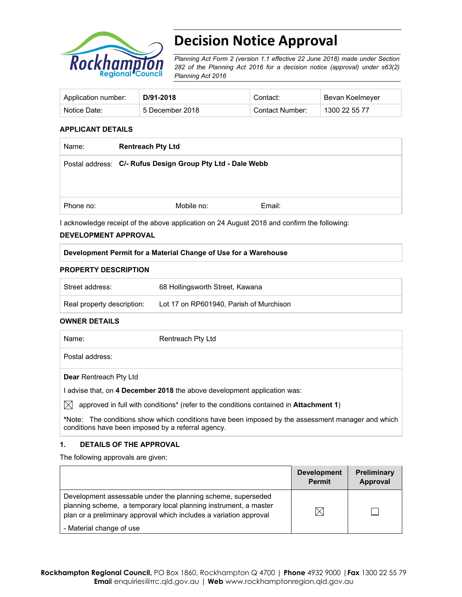

# **Decision Notice Approval**

*Planning Act Form 2 (version 1.1 effective 22 June 2018) made under Section 282 of the Planning Act 2016 for a decision notice (approval) under s63(2) Planning Act 2016*

| Application number: | D/91-2018       | Contact:        | Bevan Koelmeyer |
|---------------------|-----------------|-----------------|-----------------|
| Notice Date:        | 5 December 2018 | Contact Number: | 1300 22 55 77   |

#### **APPLICANT DETAILS**

| Name:     | <b>Rentreach Pty Ltd</b>                                   |  |  |
|-----------|------------------------------------------------------------|--|--|
|           | Postal address: C/- Rufus Design Group Pty Ltd - Dale Webb |  |  |
|           |                                                            |  |  |
|           |                                                            |  |  |
| Phone no: | Email:<br>Mobile no:                                       |  |  |

I acknowledge receipt of the above application on 24 August 2018 and confirm the following:

#### **DEVELOPMENT APPROVAL**

#### **Development Permit for a Material Change of Use for a Warehouse**

#### **PROPERTY DESCRIPTION**

| Street address:            | 68 Hollingsworth Street, Kawana         |  |
|----------------------------|-----------------------------------------|--|
| Real property description: | Lot 17 on RP601940. Parish of Murchison |  |

#### **OWNER DETAILS**

| Name:                         | Rentreach Pty Ltd |
|-------------------------------|-------------------|
| Postal address:               |                   |
| <b>Dear Rentreach Pty Ltd</b> |                   |

I advise that, on **4 December 2018** the above development application was:

 $\boxtimes$  approved in full with conditions<sup>\*</sup> (refer to the conditions contained in **Attachment 1**)

**\***Note:The conditions show which conditions have been imposed by the assessment manager and which conditions have been imposed by a referral agency.

### **1. DETAILS OF THE APPROVAL**

The following approvals are given:

|                                                                                                                                                                                                        | <b>Development</b><br><b>Permit</b> | <b>Preliminary</b><br>Approval |
|--------------------------------------------------------------------------------------------------------------------------------------------------------------------------------------------------------|-------------------------------------|--------------------------------|
| Development assessable under the planning scheme, superseded<br>planning scheme, a temporary local planning instrument, a master<br>plan or a preliminary approval which includes a variation approval | $\boxtimes$                         |                                |
| - Material change of use                                                                                                                                                                               |                                     |                                |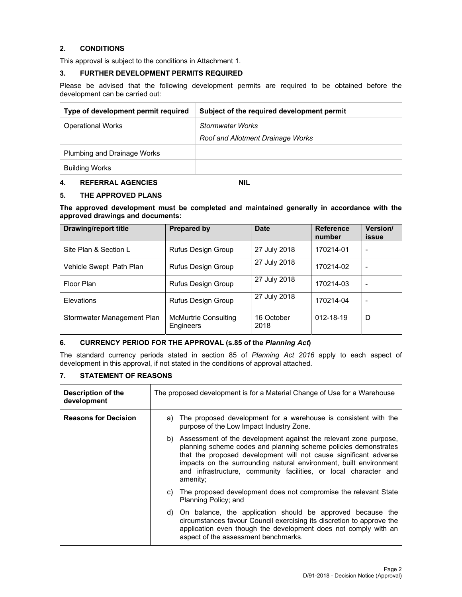#### **2. CONDITIONS**

This approval is subject to the conditions in Attachment 1.

#### **3. FURTHER DEVELOPMENT PERMITS REQUIRED**

Please be advised that the following development permits are required to be obtained before the development can be carried out:

| Type of development permit required | Subject of the required development permit |
|-------------------------------------|--------------------------------------------|
| <b>Operational Works</b>            | <b>Stormwater Works</b>                    |
|                                     | Roof and Allotment Drainage Works          |
| <b>Plumbing and Drainage Works</b>  |                                            |
| <b>Building Works</b>               |                                            |

## **4. REFERRAL AGENCIES NIL**

#### **5. THE APPROVED PLANS**

**The approved development must be completed and maintained generally in accordance with the approved drawings and documents:** 

| <b>Drawing/report title</b> | <b>Prepared by</b>                       | <b>Date</b>        | <b>Reference</b><br>number | Version/<br>issue |
|-----------------------------|------------------------------------------|--------------------|----------------------------|-------------------|
| Site Plan & Section L       | Rufus Design Group                       | 27 July 2018       | 170214-01                  | ۰                 |
| Vehicle Swept Path Plan     | Rufus Design Group                       | 27 July 2018       | 170214-02                  | ۰                 |
| Floor Plan                  | <b>Rufus Design Group</b>                | 27 July 2018       | 170214-03                  | -                 |
| Elevations                  | Rufus Design Group                       | 27 July 2018       | 170214-04                  | ۰                 |
| Stormwater Management Plan  | McMurtrie Consulting<br><b>Engineers</b> | 16 October<br>2018 | 012-18-19                  | D                 |

#### **6. CURRENCY PERIOD FOR THE APPROVAL (s.85 of the** *Planning Act***)**

The standard currency periods stated in section 85 of *Planning Act 2016* apply to each aspect of development in this approval, if not stated in the conditions of approval attached.

## **7. STATEMENT OF REASONS**

| Description of the<br>development | The proposed development is for a Material Change of Use for a Warehouse                                                                                                                                                                                                                                                                                           |  |  |
|-----------------------------------|--------------------------------------------------------------------------------------------------------------------------------------------------------------------------------------------------------------------------------------------------------------------------------------------------------------------------------------------------------------------|--|--|
| <b>Reasons for Decision</b>       | The proposed development for a warehouse is consistent with the<br>a)<br>purpose of the Low Impact Industry Zone.                                                                                                                                                                                                                                                  |  |  |
|                                   | Assessment of the development against the relevant zone purpose,<br>b)<br>planning scheme codes and planning scheme policies demonstrates<br>that the proposed development will not cause significant adverse<br>impacts on the surrounding natural environment, built environment<br>and infrastructure, community facilities, or local character and<br>amenity; |  |  |
|                                   | The proposed development does not compromise the relevant State<br>C)<br>Planning Policy; and                                                                                                                                                                                                                                                                      |  |  |
|                                   | On balance, the application should be approved because the<br>d)<br>circumstances favour Council exercising its discretion to approve the<br>application even though the development does not comply with an<br>aspect of the assessment benchmarks.                                                                                                               |  |  |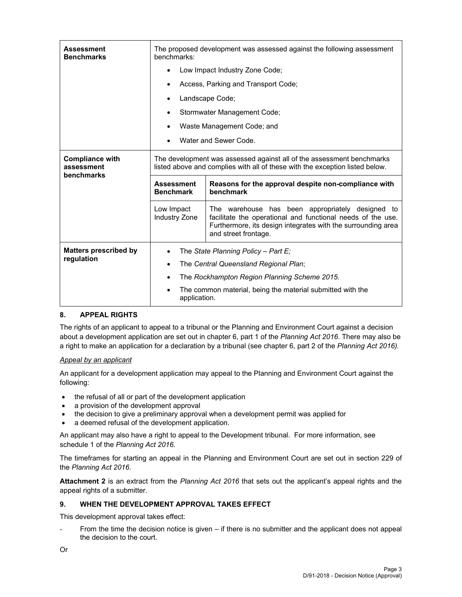| <b>Assessment</b><br><b>Benchmarks</b>             | benchmarks:                                                                                                                                           | The proposed development was assessed against the following assessment                                                                                                                                  |  |  |
|----------------------------------------------------|-------------------------------------------------------------------------------------------------------------------------------------------------------|---------------------------------------------------------------------------------------------------------------------------------------------------------------------------------------------------------|--|--|
|                                                    | Low Impact Industry Zone Code;                                                                                                                        |                                                                                                                                                                                                         |  |  |
|                                                    |                                                                                                                                                       | Access, Parking and Transport Code;                                                                                                                                                                     |  |  |
|                                                    |                                                                                                                                                       | Landscape Code;                                                                                                                                                                                         |  |  |
|                                                    |                                                                                                                                                       | Stormwater Management Code;                                                                                                                                                                             |  |  |
|                                                    |                                                                                                                                                       | Waste Management Code; and                                                                                                                                                                              |  |  |
|                                                    |                                                                                                                                                       | Water and Sewer Code.                                                                                                                                                                                   |  |  |
| <b>Compliance with</b><br>assessment<br>benchmarks | The development was assessed against all of the assessment benchmarks<br>listed above and complies with all of these with the exception listed below. |                                                                                                                                                                                                         |  |  |
|                                                    | <b>Assessment</b><br>Reasons for the approval despite non-compliance with<br>benchmark<br><b>Benchmark</b>                                            |                                                                                                                                                                                                         |  |  |
|                                                    | Low Impact<br><b>Industry Zone</b>                                                                                                                    | The warehouse has been appropriately designed to<br>facilitate the operational and functional needs of the use.<br>Furthermore, its design integrates with the surrounding area<br>and street frontage. |  |  |
| <b>Matters prescribed by</b>                       | The State Planning Policy - Part E;                                                                                                                   |                                                                                                                                                                                                         |  |  |
| regulation                                         | The Central Queensland Regional Plan;                                                                                                                 |                                                                                                                                                                                                         |  |  |
|                                                    | The Rockhampton Region Planning Scheme 2015.                                                                                                          |                                                                                                                                                                                                         |  |  |
|                                                    | The common material, being the material submitted with the<br>application.                                                                            |                                                                                                                                                                                                         |  |  |

## **8. APPEAL RIGHTS**

The rights of an applicant to appeal to a tribunal or the Planning and Environment Court against a decision about a development application are set out in chapter 6, part 1 of the *Planning Act 2016*. There may also be a right to make an application for a declaration by a tribunal (see chapter 6, part 2 of the *Planning Act 2016).*

#### *Appeal by an applicant*

An applicant for a development application may appeal to the Planning and Environment Court against the following:

- the refusal of all or part of the development application
- a provision of the development approval
- the decision to give a preliminary approval when a development permit was applied for
- a deemed refusal of the development application.

An applicant may also have a right to appeal to the Development tribunal. For more information, see schedule 1 of the *Planning Act 2016*.

The timeframes for starting an appeal in the Planning and Environment Court are set out in section 229 of the *Planning Act 2016*.

**Attachment 2** is an extract from the *Planning Act 2016* that sets out the applicant's appeal rights and the appeal rights of a submitter.

#### **9. WHEN THE DEVELOPMENT APPROVAL TAKES EFFECT**

This development approval takes effect:

From the time the decision notice is given – if there is no submitter and the applicant does not appeal the decision to the court.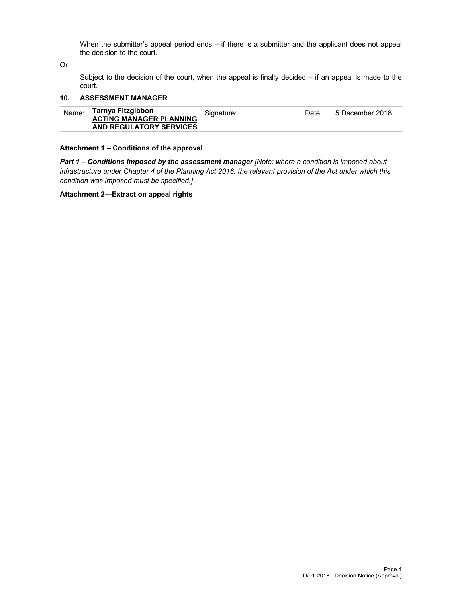- When the submitter's appeal period ends – if there is a submitter and the applicant does not appeal the decision to the court.

Or

- Subject to the decision of the court, when the appeal is finally decided – if an appeal is made to the court.

#### **10. ASSESSMENT MANAGER**

| Name: | Tarnya Fitzgibbon<br><b>ACTING MANAGER PLANNING</b> | Signature: | Date: | 5 December 2018 |
|-------|-----------------------------------------------------|------------|-------|-----------------|
|       | AND REGULATORY SERVICES                             |            |       |                 |

#### **Attachment 1 – Conditions of the approval**

*Part 1* **–** *Conditions imposed by the assessment manager [Note: where a condition is imposed about infrastructure under Chapter 4 of the Planning Act 2016, the relevant provision of the Act under which this condition was imposed must be specified.]*

#### **Attachment 2—Extract on appeal rights**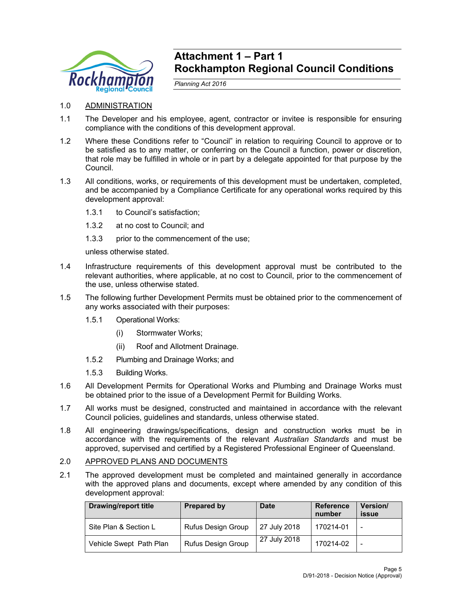

## **Attachment 1 – Part 1 Rockhampton Regional Council Conditions**

*Planning Act 2016* 

- 1.0 ADMINISTRATION
- 1.1 The Developer and his employee, agent, contractor or invitee is responsible for ensuring compliance with the conditions of this development approval.
- 1.2 Where these Conditions refer to "Council" in relation to requiring Council to approve or to be satisfied as to any matter, or conferring on the Council a function, power or discretion, that role may be fulfilled in whole or in part by a delegate appointed for that purpose by the Council.
- 1.3 All conditions, works, or requirements of this development must be undertaken, completed, and be accompanied by a Compliance Certificate for any operational works required by this development approval:
	- 1.3.1 to Council's satisfaction;
	- 1.3.2 at no cost to Council; and
	- 1.3.3 prior to the commencement of the use;

unless otherwise stated.

- 1.4 Infrastructure requirements of this development approval must be contributed to the relevant authorities, where applicable, at no cost to Council, prior to the commencement of the use, unless otherwise stated.
- 1.5 The following further Development Permits must be obtained prior to the commencement of any works associated with their purposes:
	- 1.5.1 Operational Works:
		- (i) Stormwater Works;
		- (ii) Roof and Allotment Drainage.
	- 1.5.2 Plumbing and Drainage Works; and
	- 1.5.3 Building Works.
- 1.6 All Development Permits for Operational Works and Plumbing and Drainage Works must be obtained prior to the issue of a Development Permit for Building Works.
- 1.7 All works must be designed, constructed and maintained in accordance with the relevant Council policies, guidelines and standards, unless otherwise stated.
- 1.8 All engineering drawings/specifications, design and construction works must be in accordance with the requirements of the relevant *Australian Standards* and must be approved, supervised and certified by a Registered Professional Engineer of Queensland.

### 2.0 APPROVED PLANS AND DOCUMENTS

2.1 The approved development must be completed and maintained generally in accordance with the approved plans and documents, except where amended by any condition of this development approval:

| Drawing/report title    | <b>Prepared by</b>        | <b>Date</b>  | <b>Reference</b><br>number | Version/<br>issue |
|-------------------------|---------------------------|--------------|----------------------------|-------------------|
| Site Plan & Section L   | Rufus Design Group        | 27 July 2018 | 170214-01                  |                   |
| Vehicle Swept Path Plan | <b>Rufus Design Group</b> | 27 July 2018 | 170214-02                  | -                 |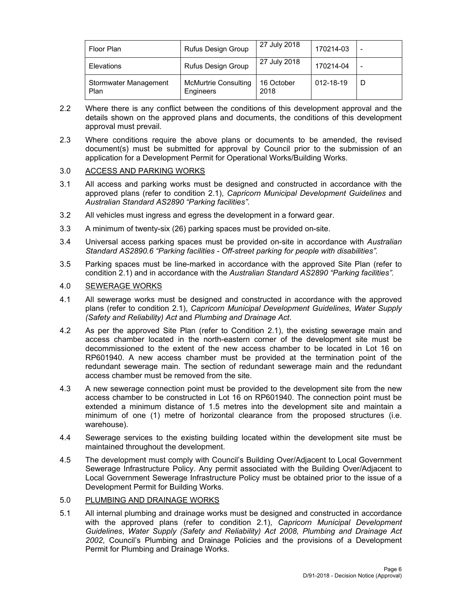| Floor Plan                           | Rufus Design Group                       | 27 July 2018       | 170214-03 |   |
|--------------------------------------|------------------------------------------|--------------------|-----------|---|
| Elevations                           | <b>Rufus Design Group</b>                | 27 July 2018       | 170214-04 |   |
| <b>Stormwater Management</b><br>Plan | <b>McMurtrie Consulting</b><br>Engineers | 16 October<br>2018 | 012-18-19 | D |

- 2.2 Where there is any conflict between the conditions of this development approval and the details shown on the approved plans and documents, the conditions of this development approval must prevail.
- 2.3 Where conditions require the above plans or documents to be amended, the revised document(s) must be submitted for approval by Council prior to the submission of an application for a Development Permit for Operational Works/Building Works.

## 3.0 ACCESS AND PARKING WORKS

- 3.1 All access and parking works must be designed and constructed in accordance with the approved plans (refer to condition 2.1), *Capricorn Municipal Development Guidelines* and *Australian Standard AS2890 "Parking facilities"*.
- 3.2 All vehicles must ingress and egress the development in a forward gear.
- 3.3 A minimum of twenty-six (26) parking spaces must be provided on-site.
- 3.4 Universal access parking spaces must be provided on-site in accordance with *Australian Standard AS2890.6 "Parking facilities - Off-street parking for people with disabilities".*
- 3.5 Parking spaces must be line-marked in accordance with the approved Site Plan (refer to condition 2.1) and in accordance with the *Australian Standard AS2890 "Parking facilities".*

## 4.0 SEWERAGE WORKS

- 4.1 All sewerage works must be designed and constructed in accordance with the approved plans (refer to condition 2.1), *Capricorn Municipal Development Guidelines*, *Water Supply (Safety and Reliability) Act* and *Plumbing and Drainage Act*.
- 4.2 As per the approved Site Plan (refer to Condition 2.1), the existing sewerage main and access chamber located in the north-eastern corner of the development site must be decommissioned to the extent of the new access chamber to be located in Lot 16 on RP601940. A new access chamber must be provided at the termination point of the redundant sewerage main. The section of redundant sewerage main and the redundant access chamber must be removed from the site.
- 4.3 A new sewerage connection point must be provided to the development site from the new access chamber to be constructed in Lot 16 on RP601940. The connection point must be extended a minimum distance of 1.5 metres into the development site and maintain a minimum of one (1) metre of horizontal clearance from the proposed structures (i.e. warehouse).
- 4.4 Sewerage services to the existing building located within the development site must be maintained throughout the development.
- 4.5 The development must comply with Council's Building Over/Adjacent to Local Government Sewerage Infrastructure Policy. Any permit associated with the Building Over/Adjacent to Local Government Sewerage Infrastructure Policy must be obtained prior to the issue of a Development Permit for Building Works.

## 5.0 PLUMBING AND DRAINAGE WORKS

5.1 All internal plumbing and drainage works must be designed and constructed in accordance with the approved plans (refer to condition 2.1), *Capricorn Municipal Development Guidelines*, *Water Supply (Safety and Reliability) Act 2008, Plumbing and Drainage Act 2002*, Council's Plumbing and Drainage Policies and the provisions of a Development Permit for Plumbing and Drainage Works.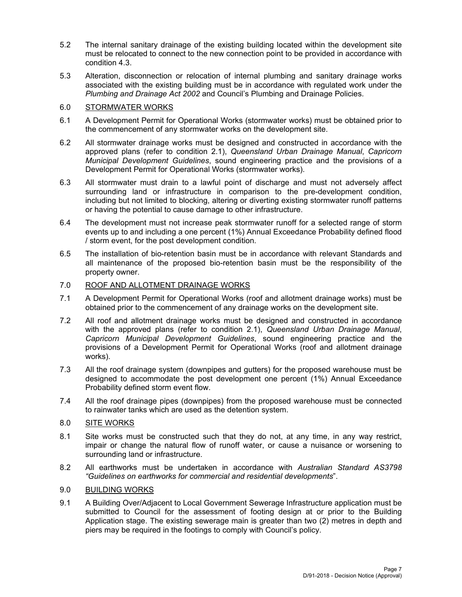- 5.2 The internal sanitary drainage of the existing building located within the development site must be relocated to connect to the new connection point to be provided in accordance with condition 4.3.
- 5.3 Alteration, disconnection or relocation of internal plumbing and sanitary drainage works associated with the existing building must be in accordance with regulated work under the *Plumbing and Drainage Act 2002* and Council's Plumbing and Drainage Policies.

## 6.0 STORMWATER WORKS

- 6.1 A Development Permit for Operational Works (stormwater works) must be obtained prior to the commencement of any stormwater works on the development site.
- 6.2 All stormwater drainage works must be designed and constructed in accordance with the approved plans (refer to condition 2.1), *Queensland Urban Drainage Manual*, *Capricorn Municipal Development Guidelines*, sound engineering practice and the provisions of a Development Permit for Operational Works (stormwater works).
- 6.3 All stormwater must drain to a lawful point of discharge and must not adversely affect surrounding land or infrastructure in comparison to the pre-development condition, including but not limited to blocking, altering or diverting existing stormwater runoff patterns or having the potential to cause damage to other infrastructure.
- 6.4 The development must not increase peak stormwater runoff for a selected range of storm events up to and including a one percent (1%) Annual Exceedance Probability defined flood / storm event, for the post development condition.
- 6.5 The installation of bio-retention basin must be in accordance with relevant Standards and all maintenance of the proposed bio-retention basin must be the responsibility of the property owner.

### 7.0 ROOF AND ALLOTMENT DRAINAGE WORKS

- 7.1 A Development Permit for Operational Works (roof and allotment drainage works) must be obtained prior to the commencement of any drainage works on the development site.
- 7.2 All roof and allotment drainage works must be designed and constructed in accordance with the approved plans (refer to condition 2.1), *Queensland Urban Drainage Manual*, *Capricorn Municipal Development Guidelines*, sound engineering practice and the provisions of a Development Permit for Operational Works (roof and allotment drainage works).
- 7.3 All the roof drainage system (downpipes and gutters) for the proposed warehouse must be designed to accommodate the post development one percent (1%) Annual Exceedance Probability defined storm event flow.
- 7.4 All the roof drainage pipes (downpipes) from the proposed warehouse must be connected to rainwater tanks which are used as the detention system.

## 8.0 SITE WORKS

- 8.1 Site works must be constructed such that they do not, at any time, in any way restrict, impair or change the natural flow of runoff water, or cause a nuisance or worsening to surrounding land or infrastructure.
- 8.2 All earthworks must be undertaken in accordance with *Australian Standard AS3798 "Guidelines on earthworks for commercial and residential developments*".

## 9.0 BUILDING WORKS

9.1 A Building Over/Adjacent to Local Government Sewerage Infrastructure application must be submitted to Council for the assessment of footing design at or prior to the Building Application stage. The existing sewerage main is greater than two (2) metres in depth and piers may be required in the footings to comply with Council's policy.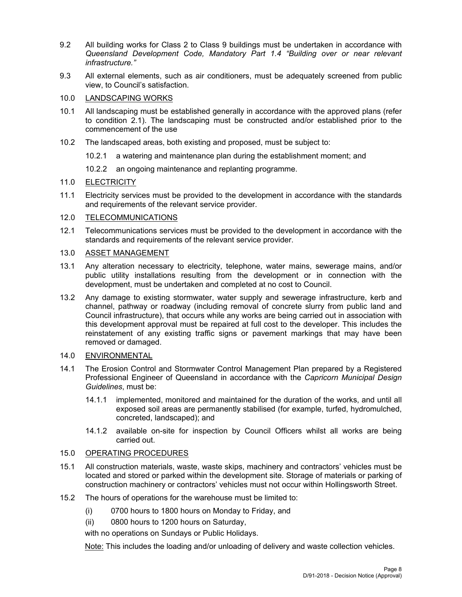- 9.2 All building works for Class 2 to Class 9 buildings must be undertaken in accordance with *Queensland Development Code, Mandatory Part 1.4 "Building over or near relevant infrastructure."*
- 9.3 All external elements, such as air conditioners, must be adequately screened from public view, to Council's satisfaction.

### 10.0 LANDSCAPING WORKS

- 10.1 All landscaping must be established generally in accordance with the approved plans (refer to condition 2.1). The landscaping must be constructed and/or established prior to the commencement of the use
- 10.2 The landscaped areas, both existing and proposed, must be subject to:
	- 10.2.1 a watering and maintenance plan during the establishment moment; and
	- 10.2.2 an ongoing maintenance and replanting programme.

## 11.0 ELECTRICITY

11.1 Electricity services must be provided to the development in accordance with the standards and requirements of the relevant service provider.

## 12.0 TELECOMMUNICATIONS

12.1 Telecommunications services must be provided to the development in accordance with the standards and requirements of the relevant service provider.

#### 13.0 ASSET MANAGEMENT

- 13.1 Any alteration necessary to electricity, telephone, water mains, sewerage mains, and/or public utility installations resulting from the development or in connection with the development, must be undertaken and completed at no cost to Council.
- 13.2 Any damage to existing stormwater, water supply and sewerage infrastructure, kerb and channel, pathway or roadway (including removal of concrete slurry from public land and Council infrastructure), that occurs while any works are being carried out in association with this development approval must be repaired at full cost to the developer. This includes the reinstatement of any existing traffic signs or pavement markings that may have been removed or damaged.
- 14.0 ENVIRONMENTAL
- 14.1 The Erosion Control and Stormwater Control Management Plan prepared by a Registered Professional Engineer of Queensland in accordance with the *Capricorn Municipal Design Guidelines*, must be:
	- 14.1.1 implemented, monitored and maintained for the duration of the works, and until all exposed soil areas are permanently stabilised (for example, turfed, hydromulched, concreted, landscaped); and
	- 14.1.2 available on-site for inspection by Council Officers whilst all works are being carried out.

## 15.0 OPERATING PROCEDURES

- 15.1 All construction materials, waste, waste skips, machinery and contractors' vehicles must be located and stored or parked within the development site. Storage of materials or parking of construction machinery or contractors' vehicles must not occur within Hollingsworth Street.
- 15.2 The hours of operations for the warehouse must be limited to:
	- (i) 0700 hours to 1800 hours on Monday to Friday, and
	- (ii) 0800 hours to 1200 hours on Saturday,

with no operations on Sundays or Public Holidays.

Note: This includes the loading and/or unloading of delivery and waste collection vehicles.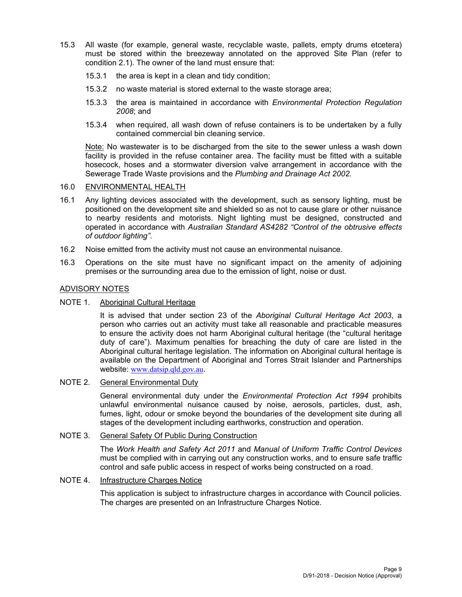- 15.3 All waste (for example, general waste, recyclable waste, pallets, empty drums etcetera) must be stored within the breezeway annotated on the approved Site Plan (refer to condition 2.1). The owner of the land must ensure that:
	- 15.3.1 the area is kept in a clean and tidy condition;
	- 15.3.2 no waste material is stored external to the waste storage area;
	- 15.3.3 the area is maintained in accordance with *Environmental Protection Regulation 2008*; and
	- 15.3.4 when required, all wash down of refuse containers is to be undertaken by a fully contained commercial bin cleaning service.

Note: No wastewater is to be discharged from the site to the sewer unless a wash down facility is provided in the refuse container area. The facility must be fitted with a suitable hosecock, hoses and a stormwater diversion valve arrangement in accordance with the Sewerage Trade Waste provisions and the *Plumbing and Drainage Act 2002.*

### 16.0 ENVIRONMENTAL HEALTH

- 16.1 Any lighting devices associated with the development, such as sensory lighting, must be positioned on the development site and shielded so as not to cause glare or other nuisance to nearby residents and motorists. Night lighting must be designed, constructed and operated in accordance with *Australian Standard AS4282 "Control of the obtrusive effects of outdoor lighting"*.
- 16.2 Noise emitted from the activity must not cause an environmental nuisance.
- 16.3 Operations on the site must have no significant impact on the amenity of adjoining premises or the surrounding area due to the emission of light, noise or dust.

#### ADVISORY NOTES

#### NOTE 1. Aboriginal Cultural Heritage

It is advised that under section 23 of the *Aboriginal Cultural Heritage Act 2003*, a person who carries out an activity must take all reasonable and practicable measures to ensure the activity does not harm Aboriginal cultural heritage (the "cultural heritage duty of care"). Maximum penalties for breaching the duty of care are listed in the Aboriginal cultural heritage legislation. The information on Aboriginal cultural heritage is available on the Department of Aboriginal and Torres Strait Islander and Partnerships website: www.datsip.qld.gov.au.

#### NOTE 2. General Environmental Duty

General environmental duty under the *Environmental Protection Act 1994* prohibits unlawful environmental nuisance caused by noise, aerosols, particles, dust, ash, fumes, light, odour or smoke beyond the boundaries of the development site during all stages of the development including earthworks, construction and operation.

#### NOTE 3. General Safety Of Public During Construction

The *Work Health and Safety Act 2011* and *Manual of Uniform Traffic Control Devices* must be complied with in carrying out any construction works, and to ensure safe traffic control and safe public access in respect of works being constructed on a road.

#### NOTE 4. Infrastructure Charges Notice

This application is subject to infrastructure charges in accordance with Council policies. The charges are presented on an Infrastructure Charges Notice.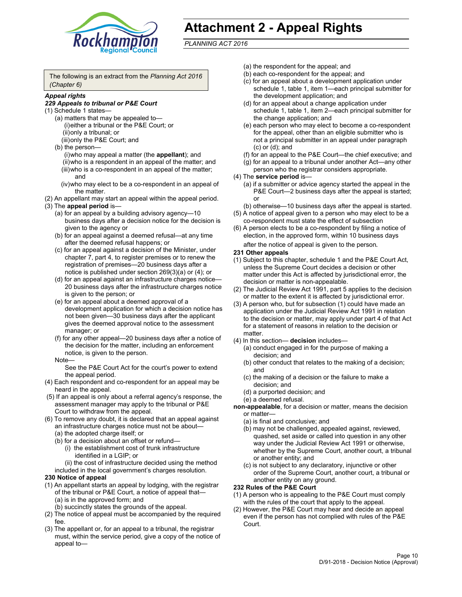

## **Attachment 2 - Appeal Rights**

*PLANNING ACT 2016*

The following is an extract from the *Planning Act 2016 (Chapter 6)*

#### *Appeal rights*

#### *229 Appeals to tribunal or P&E Court*

- (1) Schedule 1 states—
	- (a) matters that may be appealed to— (i) either a tribunal or the P&E Court; or (ii) only a tribunal; or (iii) only the P&E Court; and
	- (b) the person—
		- (i) who may appeal a matter (the **appellant**); and (ii) who is a respondent in an appeal of the matter; and (iii) who is a co-respondent in an appeal of the matter; and
		- (iv) who may elect to be a co-respondent in an appeal of the matter.
- (2) An appellant may start an appeal within the appeal period.
- (3) The **appeal period** is—
	- (a) for an appeal by a building advisory agency—10 business days after a decision notice for the decision is given to the agency or
	- (b) for an appeal against a deemed refusal—at any time after the deemed refusal happens; or
	- (c) for an appeal against a decision of the Minister, under chapter 7, part 4, to register premises or to renew the registration of premises—20 business days after a notice is published under section 269(3)(a) or (4); or
	- (d) for an appeal against an infrastructure charges notice— 20 business days after the infrastructure charges notice is given to the person; or
	- (e) for an appeal about a deemed approval of a development application for which a decision notice has not been given—30 business days after the applicant gives the deemed approval notice to the assessment manager; or
	- (f) for any other appeal—20 business days after a notice of the decision for the matter, including an enforcement notice, is given to the person.

#### Note—

See the P&E Court Act for the court's power to extend the appeal period.

- (4) Each respondent and co-respondent for an appeal may be heard in the appeal.
- (5) If an appeal is only about a referral agency's response, the assessment manager may apply to the tribunal or P&E Court to withdraw from the appeal.
- (6) To remove any doubt, it is declared that an appeal against an infrastructure charges notice must not be about— (a) the adopted charge itself; or
	- (b) for a decision about an offset or refund—
		- (i) the establishment cost of trunk infrastructure identified in a LGIP; or
		- (ii) the cost of infrastructure decided using the method
	- included in the local government's charges resolution.

### **230 Notice of appeal**

- (1) An appellant starts an appeal by lodging, with the registrar of the tribunal or P&E Court, a notice of appeal that— (a) is in the approved form; and
	- (b) succinctly states the grounds of the appeal.
- (2) The notice of appeal must be accompanied by the required fee.
- (3) The appellant or, for an appeal to a tribunal, the registrar must, within the service period, give a copy of the notice of appeal to—
- (a) the respondent for the appeal; and
- (b) each co-respondent for the appeal; and
- (c) for an appeal about a development application under schedule 1, table 1, item 1—each principal submitter for the development application; and
- (d) for an appeal about a change application under schedule 1, table 1, item 2—each principal submitter for the change application; and
- (e) each person who may elect to become a co-respondent for the appeal, other than an eligible submitter who is not a principal submitter in an appeal under paragraph (c) or (d); and
- (f) for an appeal to the P&E Court—the chief executive; and
- (g) for an appeal to a tribunal under another Act—any other person who the registrar considers appropriate.
- (4) The **service period** is—
	- (a) if a submitter or advice agency started the appeal in the P&E Court-2 business days after the appeal is started; or
	- (b) otherwise—10 business days after the appeal is started.
- (5) A notice of appeal given to a person who may elect to be a co-respondent must state the effect of subsection
- (6) A person elects to be a co-respondent by filing a notice of election, in the approved form, within 10 business days
	- after the notice of appeal is given to the person*.*
- **231 Other appeals**
- (1) Subject to this chapter, schedule 1 and the P&E Court Act, unless the Supreme Court decides a decision or other matter under this Act is affected by jurisdictional error, the decision or matter is non-appealable.
- (2) The Judicial Review Act 1991, part 5 applies to the decision or matter to the extent it is affected by jurisdictional error.
- (3) A person who, but for subsection (1) could have made an application under the Judicial Review Act 1991 in relation to the decision or matter, may apply under part 4 of that Act for a statement of reasons in relation to the decision or matter.
- (4) In this section— **decision** includes—
	- (a) conduct engaged in for the purpose of making a decision; and
	- (b) other conduct that relates to the making of a decision; and
	- (c) the making of a decision or the failure to make a decision; and
	- (d) a purported decision; and
	- (e) a deemed refusal.

**non-appealable**, for a decision or matter, means the decision or matter—

- (a) is final and conclusive; and
- (b) may not be challenged, appealed against, reviewed, quashed, set aside or called into question in any other way under the Judicial Review Act 1991 or otherwise, whether by the Supreme Court, another court, a tribunal or another entity; and
- (c) is not subject to any declaratory, injunctive or other order of the Supreme Court, another court, a tribunal or another entity on any ground.

#### **232 Rules of the P&E Court**

- (1) A person who is appealing to the P&E Court must comply with the rules of the court that apply to the appeal.
- (2) However, the P&E Court may hear and decide an appeal even if the person has not complied with rules of the P&E Court.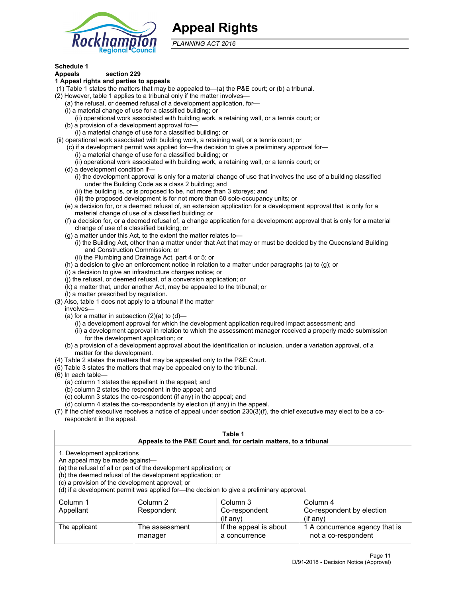

## **Appeal Rights**

*PLANNING ACT 2016*

## **Schedule 1**

## **Appeals section 229**

#### **1 Appeal rights and parties to appeals**

- (1) Table 1 states the matters that may be appealed to—(a) the P&E court; or (b) a tribunal.
- (2) However, table 1 applies to a tribunal only if the matter involves—
	- (a) the refusal, or deemed refusal of a development application, for—
	- (i) a material change of use for a classified building; or
	- (ii) operational work associated with building work, a retaining wall, or a tennis court; or
	- (b) a provision of a development approval for—
	- (i) a material change of use for a classified building; or
- (ii) operational work associated with building work, a retaining wall, or a tennis court; or
	- (c) if a development permit was applied for—the decision to give a preliminary approval for—
		- (i) a material change of use for a classified building; or
	- (ii) operational work associated with building work, a retaining wall, or a tennis court; or
	- (d) a development condition if—
		- (i) the development approval is only for a material change of use that involves the use of a building classified under the Building Code as a class 2 building; and
		- (ii) the building is, or is proposed to be, not more than 3 storeys; and
		- (iii) the proposed development is for not more than 60 sole-occupancy units; or
	- (e) a decision for, or a deemed refusal of, an extension application for a development approval that is only for a material change of use of a classified building; or
	- (f) a decision for, or a deemed refusal of, a change application for a development approval that is only for a material change of use of a classified building; or
	- (g) a matter under this Act, to the extent the matter relates to—
		- (i) the Building Act, other than a matter under that Act that may or must be decided by the Queensland Building and Construction Commission; or
		- (ii) the Plumbing and Drainage Act, part 4 or 5; or
	- (h) a decision to give an enforcement notice in relation to a matter under paragraphs (a) to (g); or
	- (i) a decision to give an infrastructure charges notice; or
	- (j) the refusal, or deemed refusal, of a conversion application; or
	- (k) a matter that, under another Act, may be appealed to the tribunal; or
	- (l) a matter prescribed by regulation.
- (3) Also, table 1 does not apply to a tribunal if the matter
	- involves—
		- (a) for a matter in subsection  $(2)(a)$  to  $(d)$ 
			- (i) a development approval for which the development application required impact assessment; and
			- (ii) a development approval in relation to which the assessment manager received a properly made submission for the development application; or
	- (b) a provision of a development approval about the identification or inclusion, under a variation approval, of a matter for the development.
- (4) Table 2 states the matters that may be appealed only to the P&E Court.
- (5) Table 3 states the matters that may be appealed only to the tribunal.
- (6) In each table—
	- (a) column 1 states the appellant in the appeal; and
	- (b) column 2 states the respondent in the appeal; and
	- (c) column 3 states the co-respondent (if any) in the appeal; and
	- (d) column 4 states the co-respondents by election (if any) in the appeal.
- (7) If the chief executive receives a notice of appeal under section 230(3)(f), the chief executive may elect to be a corespondent in the appeal.

| Table 1<br>Appeals to the P&E Court and, for certain matters, to a tribunal                                                                                                                                                                                                                                                                    |                           |                                         |                                                       |  |
|------------------------------------------------------------------------------------------------------------------------------------------------------------------------------------------------------------------------------------------------------------------------------------------------------------------------------------------------|---------------------------|-----------------------------------------|-------------------------------------------------------|--|
| 1. Development applications<br>An appeal may be made against-<br>(a) the refusal of all or part of the development application; or<br>(b) the deemed refusal of the development application; or<br>(c) a provision of the development approval; or<br>(d) if a development permit was applied for-the decision to give a preliminary approval. |                           |                                         |                                                       |  |
| Column 1                                                                                                                                                                                                                                                                                                                                       | Column 2                  | Column 3                                | Column 4                                              |  |
| Appellant                                                                                                                                                                                                                                                                                                                                      | Respondent                | Co-respondent<br>$($ if any $)$         | Co-respondent by election<br>$(if$ any)               |  |
| The applicant                                                                                                                                                                                                                                                                                                                                  | The assessment<br>manager | If the appeal is about<br>a concurrence | 1 A concurrence agency that is<br>not a co-respondent |  |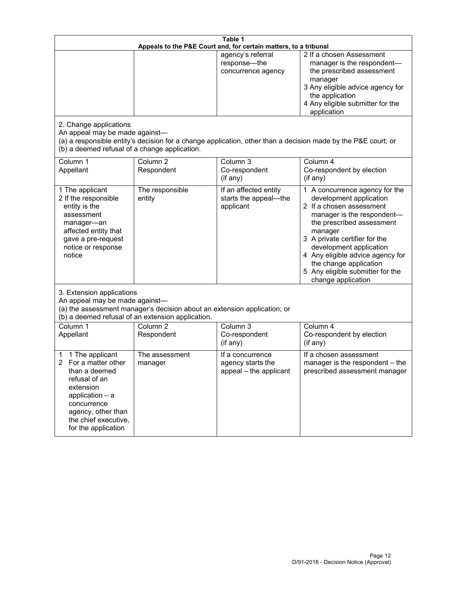| Table 1<br>Appeals to the P&E Court and, for certain matters, to a tribunal                                                                                                                        |                                                                                                                                                                                              |                                                                 |                                                                                                                                                                                                                                                                                                                                                 |  |  |
|----------------------------------------------------------------------------------------------------------------------------------------------------------------------------------------------------|----------------------------------------------------------------------------------------------------------------------------------------------------------------------------------------------|-----------------------------------------------------------------|-------------------------------------------------------------------------------------------------------------------------------------------------------------------------------------------------------------------------------------------------------------------------------------------------------------------------------------------------|--|--|
| 2. Change applications<br>An appeal may be made against-                                                                                                                                           |                                                                                                                                                                                              | agency's referral<br>response-the<br>concurrence agency         | 2 If a chosen Assessment<br>manager is the respondent-<br>the prescribed assessment<br>manager<br>3 Any eligible advice agency for<br>the application<br>4 Any eligible submitter for the<br>application                                                                                                                                        |  |  |
| (b) a deemed refusal of a change application.<br>Column 1<br>Appellant                                                                                                                             | Column $\overline{2}$<br>Respondent                                                                                                                                                          | Column 3<br>Co-respondent                                       | (a) a responsible entity's decision for a change application, other than a decision made by the P&E court; or<br>Column 4<br>Co-respondent by election                                                                                                                                                                                          |  |  |
|                                                                                                                                                                                                    |                                                                                                                                                                                              | (if any)                                                        | (if any)                                                                                                                                                                                                                                                                                                                                        |  |  |
| 1 The applicant<br>2 If the responsible<br>entity is the<br>assessment<br>manager-an<br>affected entity that<br>gave a pre-request<br>notice or response<br>notice                                 | The responsible<br>entity                                                                                                                                                                    | If an affected entity<br>starts the appeal-the<br>applicant     | 1 A concurrence agency for the<br>development application<br>2 If a chosen assessment<br>manager is the respondent-<br>the prescribed assessment<br>manager<br>3 A private certifier for the<br>development application<br>4 Any eligible advice agency for<br>the change application<br>5 Any eligible submitter for the<br>change application |  |  |
|                                                                                                                                                                                                    | 3. Extension applications<br>An appeal may be made against-<br>(a) the assessment manager's decision about an extension application; or<br>(b) a deemed refusal of an extension application. |                                                                 |                                                                                                                                                                                                                                                                                                                                                 |  |  |
| Column 1<br>Appellant                                                                                                                                                                              | Column <sub>2</sub><br>Respondent                                                                                                                                                            | Column 3<br>Co-respondent<br>(if any)                           | Column 4<br>Co-respondent by election<br>(if any)                                                                                                                                                                                                                                                                                               |  |  |
| 1 The applicant<br>1<br>For a matter other<br>than a deemed<br>refusal of an<br>extension<br>application $-$ a<br>concurrence<br>agency, other than<br>the chief executive,<br>for the application | The assessment<br>manager                                                                                                                                                                    | If a concurrence<br>agency starts the<br>appeal - the applicant | If a chosen assessment<br>manager is the respondent - the<br>prescribed assessment manager                                                                                                                                                                                                                                                      |  |  |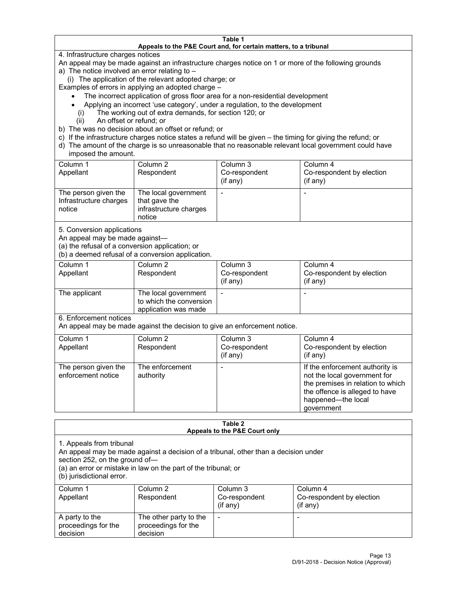#### **Table 1 Appeals to the P&E Court and, for certain matters, to a tribunal**

4. Infrastructure charges notices

An appeal may be made against an infrastructure charges notice on 1 or more of the following grounds

- a) The notice involved an error relating to
	- (i) The application of the relevant adopted charge; or

Examples of errors in applying an adopted charge –

- The incorrect application of gross floor area for a non-residential development
- Applying an incorrect 'use category', under a regulation, to the development
- (i) The working out of extra demands, for section 120; or
- (ii) An offset or refund; or
- b) The was no decision about an offset or refund; or
- c) If the infrastructure charges notice states a refund will be given the timing for giving the refund; or
- d) The amount of the charge is so unreasonable that no reasonable relevant local government could have imposed the amount.

| Column 1<br>Appellant                                    | Column 2<br>Respondent                                                    | Column 3<br>Co-respondent<br>(if any) | Column 4<br>Co-respondent by election<br>(i f any) |
|----------------------------------------------------------|---------------------------------------------------------------------------|---------------------------------------|----------------------------------------------------|
| The person given the<br>Infrastructure charges<br>notice | The local government<br>that gave the<br>infrastructure charges<br>notice |                                       |                                                    |

5. Conversion applications

An appeal may be made against—

(a) the refusal of a conversion application; or

(b) a deemed refusal of a conversion application.

| Column 1      | Column 2                                        | Column 3      | Column 4                  |
|---------------|-------------------------------------------------|---------------|---------------------------|
| Appellant     | Respondent                                      | Co-respondent | Co-respondent by election |
|               |                                                 | $(if$ any)    | (i f any)                 |
| The applicant | The local government<br>to which the conversion |               |                           |
|               | application was made                            |               |                           |

6. Enforcement notices

An appeal may be made against the decision to give an enforcement notice.

| Column 1<br>Appellant                      | Column 2<br>Respondent       | Column 3<br>Co-respondent<br>(if any) | Column 4<br>Co-respondent by election<br>(if any)                                                                                                                          |
|--------------------------------------------|------------------------------|---------------------------------------|----------------------------------------------------------------------------------------------------------------------------------------------------------------------------|
| The person given the<br>enforcement notice | The enforcement<br>authority |                                       | If the enforcement authority is<br>not the local government for<br>the premises in relation to which<br>the offence is alleged to have<br>happened-the local<br>government |

#### **Table 2 Appeals to the P&E Court only**

1. Appeals from tribunal

An appeal may be made against a decision of a tribunal, other than a decision under

section 252, on the ground of—

(a) an error or mistake in law on the part of the tribunal; or

(b) jurisdictional error.

| Column 1<br>Appellant                             | Column 2<br>Respondent                                    | Column 3<br>Co-respondent<br>$(i$ f any $)$ | Column 4<br>Co-respondent by election<br>(if any) |
|---------------------------------------------------|-----------------------------------------------------------|---------------------------------------------|---------------------------------------------------|
| A party to the<br>proceedings for the<br>decision | The other party to the<br>proceedings for the<br>decision | ٠                                           |                                                   |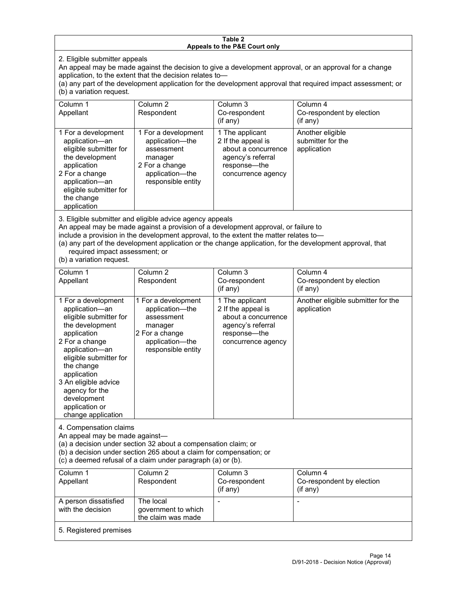#### **Table 2 Appeals to the P&E Court only**

2. Eligible submitter appeals

An appeal may be made against the decision to give a development approval, or an approval for a change application, to the extent that the decision relates to—

(a) any part of the development application for the development approval that required impact assessment; or (b) a variation request.

| Column 1<br>Appellant                                                                                                                                                                        | Column 2<br>Respondent                                                                                                     | Column 3<br>Co-respondent<br>(i f any)                                                                                  | Column 4<br>Co-respondent by election<br>$($ if any $)$ |
|----------------------------------------------------------------------------------------------------------------------------------------------------------------------------------------------|----------------------------------------------------------------------------------------------------------------------------|-------------------------------------------------------------------------------------------------------------------------|---------------------------------------------------------|
| 1 For a development<br>application-an<br>eligible submitter for<br>the development<br>application<br>2 For a change<br>application-an<br>eligible submitter for<br>the change<br>application | 1 For a development<br>application-the<br>assessment<br>manager<br>2 For a change<br>application-the<br>responsible entity | 1 The applicant<br>2 If the appeal is<br>about a concurrence<br>agency's referral<br>response—the<br>concurrence agency | Another eligible<br>submitter for the<br>application    |

3. Eligible submitter and eligible advice agency appeals

An appeal may be made against a provision of a development approval, or failure to

include a provision in the development approval, to the extent the matter relates to—

(a) any part of the development application or the change application, for the development approval, that required impact assessment; or

(b) a variation request.

| Column 1<br>Appellant                                                                                                                                                                                                                                                                         | Column <sub>2</sub><br>Respondent                                                                                          | Column <sub>3</sub><br>Co-respondent<br>(if any)                                                                        | Column 4<br>Co-respondent by election<br>$($ if any $)$ |  |
|-----------------------------------------------------------------------------------------------------------------------------------------------------------------------------------------------------------------------------------------------------------------------------------------------|----------------------------------------------------------------------------------------------------------------------------|-------------------------------------------------------------------------------------------------------------------------|---------------------------------------------------------|--|
| 1 For a development<br>application-an<br>eligible submitter for<br>the development<br>application<br>2 For a change<br>application-an<br>eligible submitter for<br>the change<br>application<br>3 An eligible advice<br>agency for the<br>development<br>application or<br>change application | 1 For a development<br>application-the<br>assessment<br>manager<br>2 For a change<br>application-the<br>responsible entity | 1 The applicant<br>2 If the appeal is<br>about a concurrence<br>agency's referral<br>response-the<br>concurrence agency | Another eligible submitter for the<br>application       |  |
| 4. Compensation claims<br>An appeal may be made against-<br>(a) a decision under section 32 about a compensation claim; or<br>(b) a decision under section 265 about a claim for compensation; or<br>(c) a deemed refusal of a claim under paragraph (a) or (b).                              |                                                                                                                            |                                                                                                                         |                                                         |  |
| Column 1<br>Appellant                                                                                                                                                                                                                                                                         | Column <sub>2</sub><br>Respondent                                                                                          | Column <sub>3</sub><br>Co-respondent<br>(i f any)                                                                       | Column 4<br>Co-respondent by election<br>$($ if any $)$ |  |
| A person dissatisfied<br>with the decision                                                                                                                                                                                                                                                    | The local<br>government to which<br>the claim was made                                                                     |                                                                                                                         |                                                         |  |
| 5. Registered premises                                                                                                                                                                                                                                                                        |                                                                                                                            |                                                                                                                         |                                                         |  |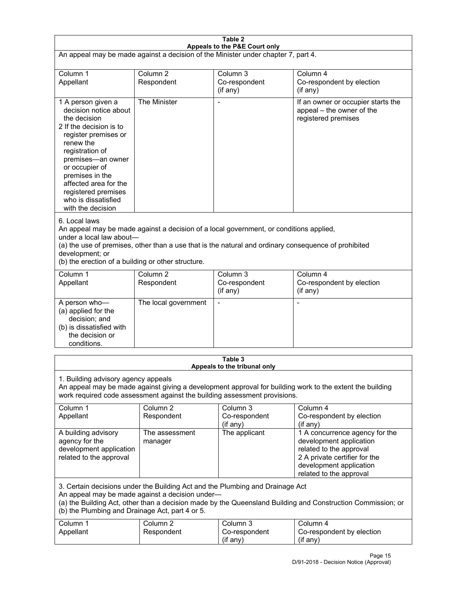| Table 2<br>Appeals to the P&E Court only                                                                                                                                                                                                                                                                             |                                   |                                                  |                                                                                                                                                                             |  |
|----------------------------------------------------------------------------------------------------------------------------------------------------------------------------------------------------------------------------------------------------------------------------------------------------------------------|-----------------------------------|--------------------------------------------------|-----------------------------------------------------------------------------------------------------------------------------------------------------------------------------|--|
| An appeal may be made against a decision of the Minister under chapter 7, part 4.                                                                                                                                                                                                                                    |                                   |                                                  |                                                                                                                                                                             |  |
| Column 1<br>Appellant                                                                                                                                                                                                                                                                                                | Column <sub>2</sub><br>Respondent | Column <sub>3</sub><br>Co-respondent<br>(if any) | Column 4<br>Co-respondent by election<br>(if any)                                                                                                                           |  |
| 1 A person given a<br>decision notice about<br>the decision<br>2 If the decision is to<br>register premises or<br>renew the<br>registration of<br>premises-an owner<br>or occupier of<br>premises in the<br>affected area for the<br>registered premises<br>who is dissatisfied<br>with the decision                 | The Minister                      | $\overline{a}$                                   | If an owner or occupier starts the<br>appeal - the owner of the<br>registered premises                                                                                      |  |
| 6. Local laws<br>An appeal may be made against a decision of a local government, or conditions applied,<br>under a local law about-<br>(a) the use of premises, other than a use that is the natural and ordinary consequence of prohibited<br>development; or<br>(b) the erection of a building or other structure. |                                   |                                                  |                                                                                                                                                                             |  |
| Column 1<br>Appellant                                                                                                                                                                                                                                                                                                | Column <sub>2</sub><br>Respondent | Column <sub>3</sub><br>Co-respondent<br>(if any) | Column 4<br>Co-respondent by election<br>(if any)                                                                                                                           |  |
| A person who-<br>(a) applied for the<br>decision; and<br>(b) is dissatisfied with<br>the decision or<br>conditions.                                                                                                                                                                                                  | The local government              | L,                                               | $\overline{a}$                                                                                                                                                              |  |
|                                                                                                                                                                                                                                                                                                                      |                                   | Table 3<br>Appeals to the tribunal only          |                                                                                                                                                                             |  |
| 1. Building advisory agency appeals<br>An appeal may be made against giving a development approval for building work to the extent the building<br>work required code assessment against the building assessment provisions.                                                                                         |                                   |                                                  |                                                                                                                                                                             |  |
| Column 1<br>Appellant                                                                                                                                                                                                                                                                                                | Column <sub>2</sub><br>Respondent | Column 3<br>Co-respondent<br>(if any)            | Column 4<br>Co-respondent by election<br>(if any)                                                                                                                           |  |
| A building advisory<br>agency for the<br>development application<br>related to the approval                                                                                                                                                                                                                          | The assessment<br>manager         | The applicant                                    | 1 A concurrence agency for the<br>development application<br>related to the approval<br>2 A private certifier for the<br>development application<br>related to the approval |  |
| 3. Certain decisions under the Building Act and the Plumbing and Drainage Act<br>An appeal may be made against a decision under-<br>(a) the Building Act, other than a decision made by the Queensland Building and Construction Commission; or<br>(b) the Plumbing and Drainage Act, part 4 or 5.                   |                                   |                                                  |                                                                                                                                                                             |  |
| Column 1<br>Appellant                                                                                                                                                                                                                                                                                                | Column <sub>2</sub><br>Respondent | Column 3<br>Co-respondent<br>(if any)            | Column 4<br>Co-respondent by election<br>(if any)                                                                                                                           |  |